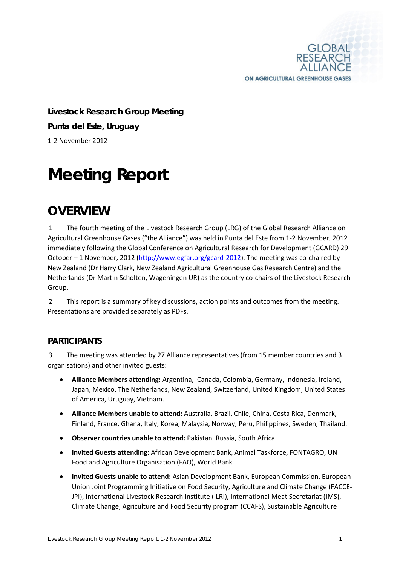

**Livestock Research Group Meeting Punta del Este, Uruguay** 1-2 November 2012

# **Meeting Report**

# **OVERVIEW**

1 The fourth meeting of the Livestock Research Group (LRG) of the Global Research Alliance on Agricultural Greenhouse Gases ("the Alliance") was held in Punta del Este from 1-2 November, 2012 immediately following the Global Conference on Agricultural Research for Development (GCARD) 29 October – 1 November, 2012 [\(http://www.egfar.org/gcard-2012\)](http://www.egfar.org/gcard-2012). The meeting was co-chaired by New Zealand (Dr Harry Clark, New Zealand Agricultural Greenhouse Gas Research Centre) and the Netherlands (Dr Martin Scholten, Wageningen UR) as the country co-chairs of the Livestock Research Group.

2 This report is a summary of key discussions, action points and outcomes from the meeting. Presentations are provided separately as PDFs.

## **PARTICIPANTS**

3 The meeting was attended by 27 Alliance representatives (from 15 member countries and 3 organisations) and other invited guests:

- **Alliance Members attending:** Argentina, Canada, Colombia, Germany, Indonesia, Ireland, Japan, Mexico, The Netherlands, New Zealand, Switzerland, United Kingdom, United States of America, Uruguay, Vietnam.
- **Alliance Members unable to attend:** Australia, Brazil, Chile, China, Costa Rica, Denmark, Finland, France, Ghana, Italy, Korea, Malaysia, Norway, Peru, Philippines, Sweden, Thailand.
- **Observer countries unable to attend:** Pakistan, Russia, South Africa.
- **Invited Guests attending:** African Development Bank, Animal Taskforce, FONTAGRO, UN Food and Agriculture Organisation (FAO), World Bank.
- **Invited Guests unable to attend:** Asian Development Bank, European Commission, European Union Joint Programming Initiative on Food Security, Agriculture and Climate Change (FACCE-JPI), International Livestock Research Institute (ILRI), International Meat Secretariat (IMS), Climate Change, Agriculture and Food Security program (CCAFS), Sustainable Agriculture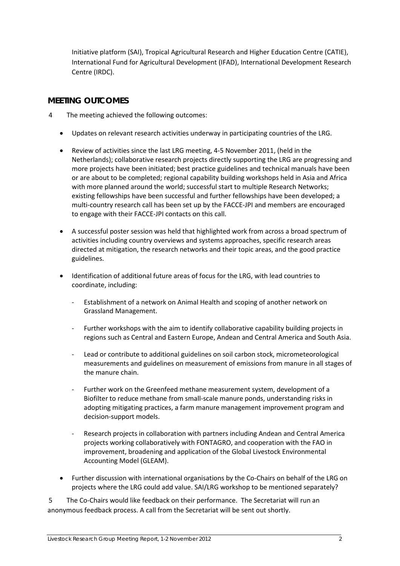Initiative platform (SAI), Tropical Agricultural Research and Higher Education Centre (CATIE), International Fund for Agricultural Development (IFAD), International Development Research Centre (IRDC).

### **MEETING OUTCOMES**

- 4 The meeting achieved the following outcomes:
	- Updates on relevant research activities underway in participating countries of the LRG.
	- Review of activities since the last LRG meeting, 4-5 November 2011, (held in the Netherlands); collaborative research projects directly supporting the LRG are progressing and more projects have been initiated; best practice guidelines and technical manuals have been or are about to be completed; regional capability building workshops held in Asia and Africa with more planned around the world; successful start to multiple Research Networks; existing fellowships have been successful and further fellowships have been developed; a multi-country research call has been set up by the FACCE-JPI and members are encouraged to engage with their FACCE-JPI contacts on this call.
	- A successful poster session was held that highlighted work from across a broad spectrum of activities including country overviews and systems approaches, specific research areas directed at mitigation, the research networks and their topic areas, and the good practice guidelines.
	- Identification of additional future areas of focus for the LRG, with lead countries to coordinate, including:
		- Establishment of a network on Animal Health and scoping of another network on Grassland Management.
		- Further workshops with the aim to identify collaborative capability building projects in regions such as Central and Eastern Europe, Andean and Central America and South Asia.
		- Lead or contribute to additional guidelines on soil carbon stock, micrometeorological measurements and guidelines on measurement of emissions from manure in all stages of the manure chain.
		- Further work on the Greenfeed methane measurement system, development of a Biofilter to reduce methane from small-scale manure ponds, understanding risks in adopting mitigating practices, a farm manure management improvement program and decision-support models.
		- Research projects in collaboration with partners including Andean and Central America projects working collaboratively with FONTAGRO, and cooperation with the FAO in improvement, broadening and application of the Global Livestock Environmental Accounting Model (GLEAM).
	- Further discussion with international organisations by the Co-Chairs on behalf of the LRG on projects where the LRG could add value. SAI/LRG workshop to be mentioned separately?

5 The Co-Chairs would like feedback on their performance. The Secretariat will run an anonymous feedback process. A call from the Secretariat will be sent out shortly.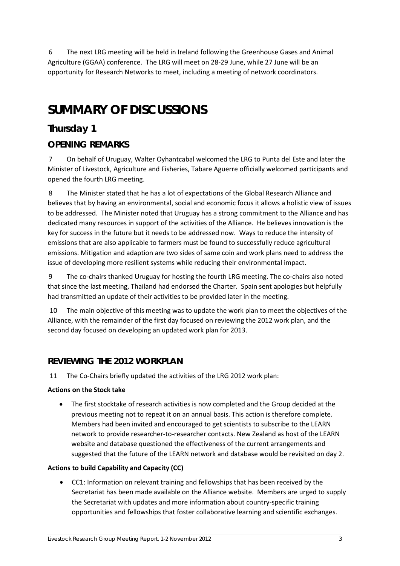6 The next LRG meeting will be held in Ireland following the Greenhouse Gases and Animal Agriculture (GGAA) conference. The LRG will meet on 28-29 June, while 27 June will be an opportunity for Research Networks to meet, including a meeting of network coordinators.

# **SUMMARY OF DISCUSSIONS**

# **Thursday 1**

# **OPENING REMARKS**

7 On behalf of Uruguay, Walter Oyhantcabal welcomed the LRG to Punta del Este and later the Minister of Livestock, Agriculture and Fisheries, Tabare Aguerre officially welcomed participants and opened the fourth LRG meeting.

8 The Minister stated that he has a lot of expectations of the Global Research Alliance and believes that by having an environmental, social and economic focus it allows a holistic view of issues to be addressed. The Minister noted that Uruguay has a strong commitment to the Alliance and has dedicated many resources in support of the activities of the Alliance. He believes innovation is the key for success in the future but it needs to be addressed now. Ways to reduce the intensity of emissions that are also applicable to farmers must be found to successfully reduce agricultural emissions. Mitigation and adaption are two sides of same coin and work plans need to address the issue of developing more resilient systems while reducing their environmental impact.

9 The co-chairs thanked Uruguay for hosting the fourth LRG meeting. The co-chairs also noted that since the last meeting, Thailand had endorsed the Charter. Spain sent apologies but helpfully had transmitted an update of their activities to be provided later in the meeting.

10 The main objective of this meeting was to update the work plan to meet the objectives of the Alliance, with the remainder of the first day focused on reviewing the 2012 work plan, and the second day focused on developing an updated work plan for 2013.

# **REVIEWING THE 2012 WORKPLAN**

11 The Co-Chairs briefly updated the activities of the LRG 2012 work plan:

### **Actions on the Stock take**

• The first stocktake of research activities is now completed and the Group decided at the previous meeting not to repeat it on an annual basis. This action is therefore complete. Members had been invited and encouraged to get scientists to subscribe to the LEARN network to provide researcher-to-researcher contacts. New Zealand as host of the LEARN website and database questioned the effectiveness of the current arrangements and suggested that the future of the LEARN network and database would be revisited on day 2.

### **Actions to build Capability and Capacity (CC)**

• CC1: Information on relevant training and fellowships that has been received by the Secretariat has been made available on the Alliance website. Members are urged to supply the Secretariat with updates and more information about country-specific training opportunities and fellowships that foster collaborative learning and scientific exchanges.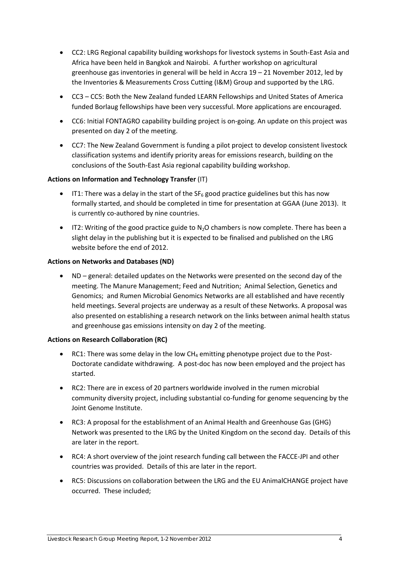- CC2: LRG Regional capability building workshops for livestock systems in South-East Asia and Africa have been held in Bangkok and Nairobi. A further workshop on agricultural greenhouse gas inventories in general will be held in Accra 19 – 21 November 2012, led by the Inventories & Measurements Cross Cutting (I&M) Group and supported by the LRG.
- CC3 CC5: Both the New Zealand funded LEARN Fellowships and United States of America funded Borlaug fellowships have been very successful. More applications are encouraged.
- CC6: Initial FONTAGRO capability building project is on-going. An update on this project was presented on day 2 of the meeting.
- CC7: The New Zealand Government is funding a pilot project to develop consistent livestock classification systems and identify priority areas for emissions research, building on the conclusions of the South-East Asia regional capability building workshop.

### **Actions on Information and Technology Transfer** (IT)

- IT1: There was a delay in the start of the  $SF_6$  good practice guidelines but this has now formally started, and should be completed in time for presentation at GGAA (June 2013). It is currently co-authored by nine countries.
- IT2: Writing of the good practice guide to  $N_2O$  chambers is now complete. There has been a slight delay in the publishing but it is expected to be finalised and published on the LRG website before the end of 2012.

### **Actions on Networks and Databases (ND)**

• ND – general: detailed updates on the Networks were presented on the second day of the meeting. The Manure Management; Feed and Nutrition; Animal Selection, Genetics and Genomics; and Rumen Microbial Genomics Networks are all established and have recently held meetings. Several projects are underway as a result of these Networks. A proposal was also presented on establishing a research network on the links between animal health status and greenhouse gas emissions intensity on day 2 of the meeting.

### **Actions on Research Collaboration (RC)**

- RC1: There was some delay in the low  $CH_4$  emitting phenotype project due to the Post-Doctorate candidate withdrawing. A post-doc has now been employed and the project has started.
- RC2: There are in excess of 20 partners worldwide involved in the rumen microbial community diversity project, including substantial co-funding for genome sequencing by the Joint Genome Institute.
- RC3: A proposal for the establishment of an Animal Health and Greenhouse Gas (GHG) Network was presented to the LRG by the United Kingdom on the second day. Details of this are later in the report.
- RC4: A short overview of the joint research funding call between the FACCE-JPI and other countries was provided. Details of this are later in the report.
- RC5: Discussions on collaboration between the LRG and the EU AnimalCHANGE project have occurred. These included;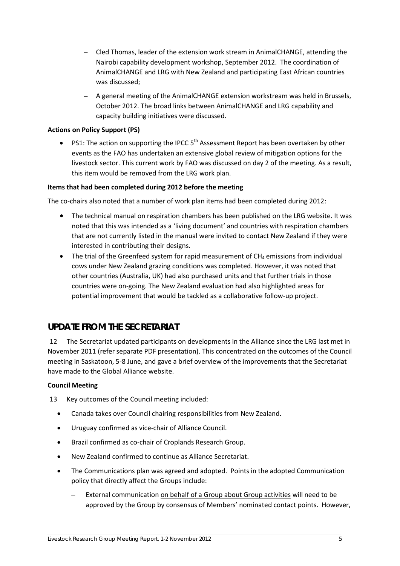- Cled Thomas, leader of the extension work stream in AnimalCHANGE, attending the Nairobi capability development workshop, September 2012. The coordination of AnimalCHANGE and LRG with New Zealand and participating East African countries was discussed;
- A general meeting of the AnimalCHANGE extension workstream was held in Brussels, October 2012. The broad links between AnimalCHANGE and LRG capability and capacity building initiatives were discussed.

### **Actions on Policy Support (PS)**

• PS1: The action on supporting the IPCC  $5<sup>th</sup>$  Assessment Report has been overtaken by other events as the FAO has undertaken an extensive global review of mitigation options for the livestock sector. This current work by FAO was discussed on day 2 of the meeting. As a result, this item would be removed from the LRG work plan.

### **Items that had been completed during 2012 before the meeting**

The co-chairs also noted that a number of work plan items had been completed during 2012:

- The technical manual on respiration chambers has been published on the LRG website. It was noted that this was intended as a 'living document' and countries with respiration chambers that are not currently listed in the manual were invited to contact New Zealand if they were interested in contributing their designs.
- The trial of the Greenfeed system for rapid measurement of  $CH<sub>4</sub>$  emissions from individual cows under New Zealand grazing conditions was completed. However, it was noted that other countries (Australia, UK) had also purchased units and that further trials in those countries were on-going. The New Zealand evaluation had also highlighted areas for potential improvement that would be tackled as a collaborative follow-up project.

## **UPDATE FROM THE SECRETARIAT**

12 The Secretariat updated participants on developments in the Alliance since the LRG last met in November 2011 (refer separate PDF presentation). This concentrated on the outcomes of the Council meeting in Saskatoon, 5-8 June, and gave a brief overview of the improvements that the Secretariat have made to the Global Alliance website.

### **Council Meeting**

13 Key outcomes of the Council meeting included:

- Canada takes over Council chairing responsibilities from New Zealand.
- Uruguay confirmed as vice-chair of Alliance Council.
- Brazil confirmed as co-chair of Croplands Research Group.
- New Zealand confirmed to continue as Alliance Secretariat.
- The Communications plan was agreed and adopted. Points in the adopted Communication policy that directly affect the Groups include:
	- External communication on behalf of a Group about Group activities will need to be approved by the Group by consensus of Members' nominated contact points. However,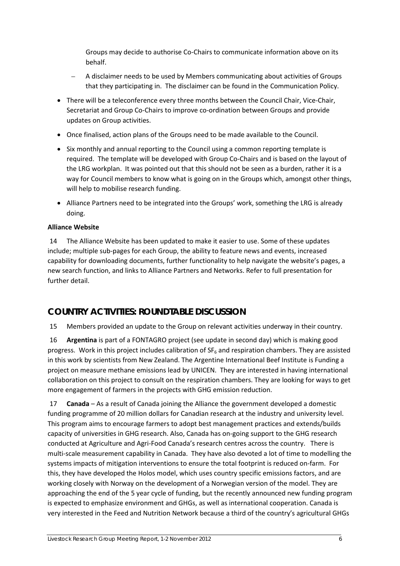Groups may decide to authorise Co-Chairs to communicate information above on its behalf.

- A disclaimer needs to be used by Members communicating about activities of Groups that they participating in. The disclaimer can be found in the Communication Policy.
- There will be a teleconference every three months between the Council Chair, Vice-Chair, Secretariat and Group Co-Chairs to improve co-ordination between Groups and provide updates on Group activities.
- Once finalised, action plans of the Groups need to be made available to the Council.
- Six monthly and annual reporting to the Council using a common reporting template is required. The template will be developed with Group Co-Chairs and is based on the layout of the LRG workplan. It was pointed out that this should not be seen as a burden, rather it is a way for Council members to know what is going on in the Groups which, amongst other things, will help to mobilise research funding.
- Alliance Partners need to be integrated into the Groups' work, something the LRG is already doing.

### **Alliance Website**

14 The Alliance Website has been updated to make it easier to use. Some of these updates include; multiple sub-pages for each Group, the ability to feature news and events, increased capability for downloading documents, further functionality to help navigate the website's pages, a new search function, and links to Alliance Partners and Networks. Refer to full presentation for further detail.

# **COUNTRY ACTIVITIES: ROUNDTABLE DISCUSSION**

15 Members provided an update to the Group on relevant activities underway in their country.

16 **Argentina** is part of a FONTAGRO project (see update in second day) which is making good progress. Work in this project includes calibration of  $SF<sub>6</sub>$  and respiration chambers. They are assisted in this work by scientists from New Zealand. The Argentine International Beef Institute is Funding a project on measure methane emissions lead by UNICEN. They are interested in having international collaboration on this project to consult on the respiration chambers. They are looking for ways to get more engagement of farmers in the projects with GHG emission reduction.

17 **Canada** – As a result of Canada joining the Alliance the government developed a domestic funding programme of 20 million dollars for Canadian research at the industry and university level. This program aims to encourage farmers to adopt best management practices and extends/builds capacity of universities in GHG research. Also, Canada has on-going support to the GHG research conducted at Agriculture and Agri-Food Canada's research centres across the country. There is multi-scale measurement capability in Canada. They have also devoted a lot of time to modelling the systems impacts of mitigation interventions to ensure the total footprint is reduced on-farm. For this, they have developed the Holos model, which uses country specific emissions factors, and are working closely with Norway on the development of a Norwegian version of the model. They are approaching the end of the 5 year cycle of funding, but the recently announced new funding program is expected to emphasize environment and GHGs, as well as international cooperation. Canada is very interested in the Feed and Nutrition Network because a third of the country's agricultural GHGs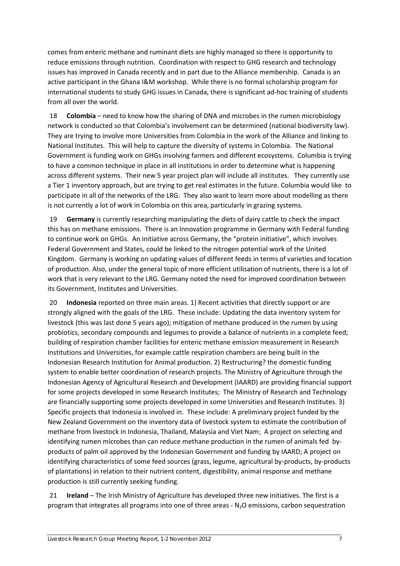comes from enteric methane and ruminant diets are highly managed so there is opportunity to reduce emissions through nutrition. Coordination with respect to GHG research and technology issues has improved in Canada recently and in part due to the Alliance membership. Canada is an active participant in the Ghana I&M workshop. While there is no formal scholarship program for international students to study GHG issues in Canada, there is significant ad-hoc training of students from all over the world.

18 **Colombia** – need to know how the sharing of DNA and microbes in the rumen microbiology network is conducted so that Colombia's involvement can be determined (national biodiversity law). They are trying to involve more Universities from Colombia in the work of the Alliance and linking to National Institutes. This will help to capture the diversity of systems in Colombia. The National Government is funding work on GHGs involving farmers and different ecosystems. Columbia is trying to have a common technique in place in all institutions in order to determine what is happening across different systems. Their new 5 year project plan will include all institutes. They currently use a Tier 1 inventory approach, but are trying to get real estimates in the future. Columbia would like to participate in all of the networks of the LRG. They also want to learn more about modelling as there is not currently a lot of work in Colombia on this area, particularly in grazing systems.

19 **Germany** is currently researching manipulating the diets of dairy cattle to check the impact this has on methane emissions. There is an Innovation programme in Germany with Federal funding to continue work on GHGs. An initiative across Germany, the "protein initiative", which involves Federal Government and States, could be linked to the nitrogen potential work of the United Kingdom. Germany is working on updating values of different feeds in terms of varieties and location of production. Also, under the general topic of more efficient utilisation of nutrients, there is a lot of work that is very relevant to the LRG. Germany noted the need for improved coordination between its Government, Institutes and Universities.

20 **Indonesia** reported on three main areas. 1) Recent activities that directly support or are strongly aligned with the goals of the LRG. These include: Updating the data inventory system for livestock (this was last done 5 years ago); mitigation of methane produced in the rumen by using probiotics, secondary compounds and legumes to provide a balance of nutrients in a complete feed; building of respiration chamber facilities for enteric methane emission measurement in Research Institutions and Universities, for example cattle respiration chambers are being built in the Indonesian Research Institution for Animal production. 2) Restructuring? the domestic funding system to enable better coordination of research projects. The Ministry of Agriculture through the Indonesian Agency of Agricultural Research and Development (IAARD) are providing financial support for some projects developed in some Research Institutes; The Ministry of Research and Technology are financially supporting some projects developed in some Universities and Research Institutes. 3) Specific projects that Indonesia is involved in. These include: A preliminary project funded by the New Zealand Government on the inventory data of livestock system to estimate the contribution of methane from livestock in Indonesia, Thailand, Malaysia and Viet Nam; A project on selecting and identifying rumen microbes than can reduce methane production in the rumen of animals fed byproducts of palm oil approved by the Indonesian Government and funding by IAARD; A project on identifying characteristics of some feed sources (grass, legume, agricultural by-products, by-products of plantations) in relation to their nutrient content, digestibility, animal response and methane production is still currently seeking funding.

21 **Ireland** – The Irish Ministry of Agriculture has developed three new initiatives. The first is a program that integrates all programs into one of three areas -  $N_2O$  emissions, carbon sequestration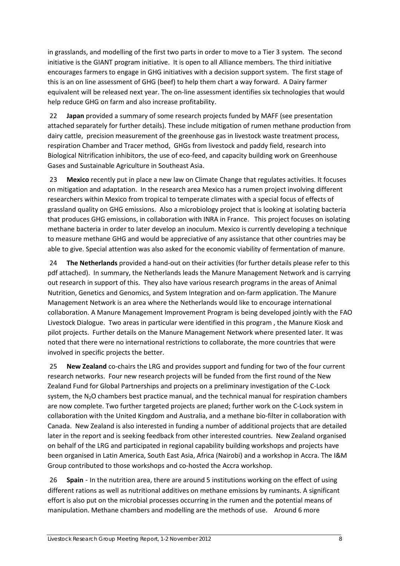in grasslands, and modelling of the first two parts in order to move to a Tier 3 system. The second initiative is the GIANT program initiative. It is open to all Alliance members. The third initiative encourages farmers to engage in GHG initiatives with a decision support system. The first stage of this is an on line assessment of GHG (beef) to help them chart a way forward. A Dairy farmer equivalent will be released next year. The on-line assessment identifies six technologies that would help reduce GHG on farm and also increase profitability.

22 **Japan** provided a summary of some research projects funded by MAFF (see presentation attached separately for further details). These include mitigation of rumen methane production from dairy cattle, precision measurement of the greenhouse gas in livestock waste treatment process, respiration Chamber and Tracer method, GHGs from livestock and paddy field, research into Biological Nitrification inhibitors, the use of eco-feed, and capacity building work on Greenhouse Gases and Sustainable Agriculture in Southeast Asia.

23 **Mexico** recently put in place a new law on Climate Change that regulates activities. It focuses on mitigation and adaptation. In the research area Mexico has a rumen project involving different researchers within Mexico from tropical to temperate climates with a special focus of effects of grassland quality on GHG emissions. Also a microbiology project that is looking at isolating bacteria that produces GHG emissions, in collaboration with INRA in France. This project focuses on isolating methane bacteria in order to later develop an inoculum. Mexico is currently developing a technique to measure methane GHG and would be appreciative of any assistance that other countries may be able to give. Special attention was also asked for the economic viability of fermentation of manure.

24 **The Netherlands** provided a hand-out on their activities (for further details please refer to this pdf attached). In summary, the Netherlands leads the Manure Management Network and is carrying out research in support of this. They also have various research programs in the areas of Animal Nutrition, Genetics and Genomics, and System Integration and on-farm application. The Manure Management Network is an area where the Netherlands would like to encourage international collaboration. A Manure Management Improvement Program is being developed jointly with the FAO Livestock Dialogue. Two areas in particular were identified in this program , the Manure Kiosk and pilot projects. Further details on the Manure Management Network where presented later. It was noted that there were no international restrictions to collaborate, the more countries that were involved in specific projects the better.

25 **New Zealand** co-chairs the LRG and provides support and funding for two of the four current research networks. Four new research projects will be funded from the first round of the New Zealand Fund for Global Partnerships and projects on a preliminary investigation of the C-Lock system, the N<sub>2</sub>O chambers best practice manual, and the technical manual for respiration chambers are now complete. Two further targeted projects are planed; further work on the C-Lock system in collaboration with the United Kingdom and Australia, and a methane bio-filter in collaboration with Canada. New Zealand is also interested in funding a number of additional projects that are detailed later in the report and is seeking feedback from other interested countries. New Zealand organised on behalf of the LRG and participated in regional capability building workshops and projects have been organised in Latin America, South East Asia, Africa (Nairobi) and a workshop in Accra. The I&M Group contributed to those workshops and co-hosted the Accra workshop.

26 **Spain** - In the nutrition area, there are around 5 institutions working on the effect of using different rations as well as nutritional additives on methane emissions by ruminants. A significant effort is also put on the microbial processes occurring in the rumen and the potential means of manipulation. Methane chambers and modelling are the methods of use. Around 6 more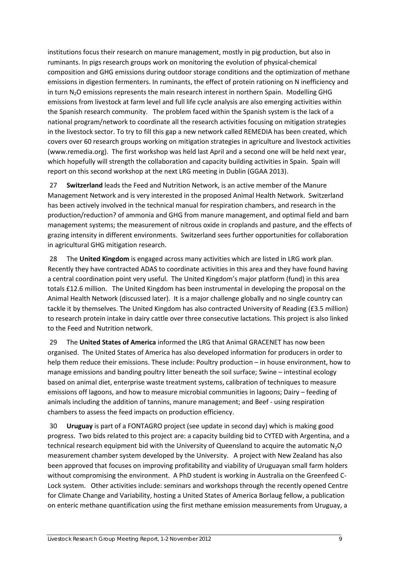institutions focus their research on manure management, mostly in pig production, but also in ruminants. In pigs research groups work on monitoring the evolution of physical-chemical composition and GHG emissions during outdoor storage conditions and the optimization of methane emissions in digestion fermenters. In ruminants, the effect of protein rationing on N inefficiency and in turn N<sub>2</sub>O emissions represents the main research interest in northern Spain. Modelling GHG emissions from livestock at farm level and full life cycle analysis are also emerging activities within the Spanish research community. The problem faced within the Spanish system is the lack of a national program/network to coordinate all the research activities focusing on mitigation strategies in the livestock sector. To try to fill this gap a new network called REMEDIA has been created, which covers over 60 research groups working on mitigation strategies in agriculture and livestock activities [\(www.remedia.org\)](http://www.remedia.org/). The first workshop was held last April and a second one will be held next year, which hopefully will strength the collaboration and capacity building activities in Spain. Spain will report on this second workshop at the next LRG meeting in Dublin (GGAA 2013).

27 **Switzerland** leads the Feed and Nutrition Network, is an active member of the Manure Management Network and is very interested in the proposed Animal Health Network. Switzerland has been actively involved in the technical manual for respiration chambers, and research in the production/reduction? of ammonia and GHG from manure management, and optimal field and barn management systems; the measurement of nitrous oxide in croplands and pasture, and the effects of grazing intensity in different environments. Switzerland sees further opportunities for collaboration in agricultural GHG mitigation research.

28 The **United Kingdom** is engaged across many activities which are listed in LRG work plan. Recently they have contracted ADAS to coordinate activities in this area and they have found having a central coordination point very useful. The United Kingdom's major platform (fund) in this area totals £12.6 million. The United Kingdom has been instrumental in developing the proposal on the Animal Health Network (discussed later). It is a major challenge globally and no single country can tackle it by themselves. The United Kingdom has also contracted University of Reading (£3.5 million) to research protein intake in dairy cattle over three consecutive lactations. This project is also linked to the Feed and Nutrition network.

29 The **United States of America** informed the LRG that Animal GRACENET has now been organised. The United States of America has also developed information for producers in order to help them reduce their emissions. These include: Poultry production – in house environment, how to manage emissions and banding poultry litter beneath the soil surface; Swine – intestinal ecology based on animal diet, enterprise waste treatment systems, calibration of techniques to measure emissions off lagoons, and how to measure microbial communities in lagoons; Dairy – feeding of animals including the addition of tannins, manure management; and Beef - using respiration chambers to assess the feed impacts on production efficiency.

30 **Uruguay** is part of a FONTAGRO project (see update in second day) which is making good progress. Two bids related to this project are: a capacity building bid to CYTED with Argentina, and a technical research equipment bid with the University of Queensland to acquire the automatic N<sub>2</sub>O measurement chamber system developed by the University. A project with New Zealand has also been approved that focuses on improving profitability and viability of Uruguayan small farm holders without compromising the environment. A PhD student is working in Australia on the Greenfeed C-Lock system. Other activities include: seminars and workshops through the recently opened Centre for Climate Change and Variability, hosting a United States of America Borlaug fellow, a publication on enteric methane quantification using the first methane emission measurements from Uruguay, a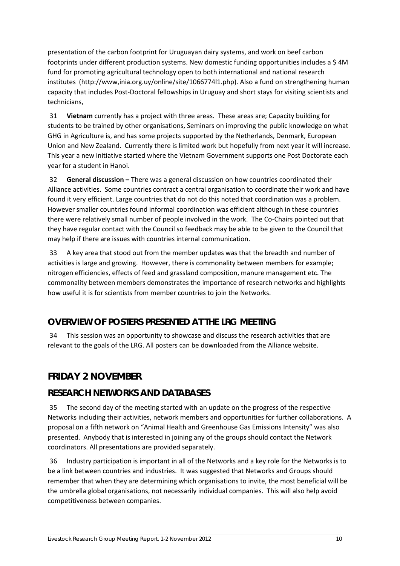presentation of the carbon footprint for Uruguayan dairy systems, and work on beef carbon footprints under different production systems. New domestic funding opportunities includes a \$ 4M fund for promoting agricultural technology open to both international and national research institutes (http://www,inia.org.uy/online/site/1066774l1.php). Also a fund on strengthening human capacity that includes Post-Doctoral fellowships in Uruguay and short stays for visiting scientists and technicians,

31 **Vietnam** currently has a project with three areas. These areas are; Capacity building for students to be trained by other organisations, Seminars on improving the public knowledge on what GHG in Agriculture is, and has some projects supported by the Netherlands, Denmark, European Union and New Zealand. Currently there is limited work but hopefully from next year it will increase. This year a new initiative started where the Vietnam Government supports one Post Doctorate each year for a student in Hanoi.

32 **General discussion –** There was a general discussion on how countries coordinated their Alliance activities. Some countries contract a central organisation to coordinate their work and have found it very efficient. Large countries that do not do this noted that coordination was a problem. However smaller countries found informal coordination was efficient although in these countries there were relatively small number of people involved in the work. The Co-Chairs pointed out that they have regular contact with the Council so feedback may be able to be given to the Council that may help if there are issues with countries internal communication.

33 A key area that stood out from the member updates was that the breadth and number of activities is large and growing. However, there is commonality between members for example; nitrogen efficiencies, effects of feed and grassland composition, manure management etc. The commonality between members demonstrates the importance of research networks and highlights how useful it is for scientists from member countries to join the Networks.

# **OVERVIEW OF POSTERS PRESENTED AT THE LRG MEETING**

34 This session was an opportunity to showcase and discuss the research activities that are relevant to the goals of the LRG. All posters can be downloaded from the Alliance website.

# **FRIDAY 2 NOVEMBER**

# **RESEARCH NETWORKS AND DATABASES**

35 The second day of the meeting started with an update on the progress of the respective Networks including their activities, network members and opportunities for further collaborations. A proposal on a fifth network on "Animal Health and Greenhouse Gas Emissions Intensity" was also presented. Anybody that is interested in joining any of the groups should contact the Network coordinators. All presentations are provided separately.

36 Industry participation is important in all of the Networks and a key role for the Networks is to be a link between countries and industries. It was suggested that Networks and Groups should remember that when they are determining which organisations to invite, the most beneficial will be the umbrella global organisations, not necessarily individual companies. This will also help avoid competitiveness between companies.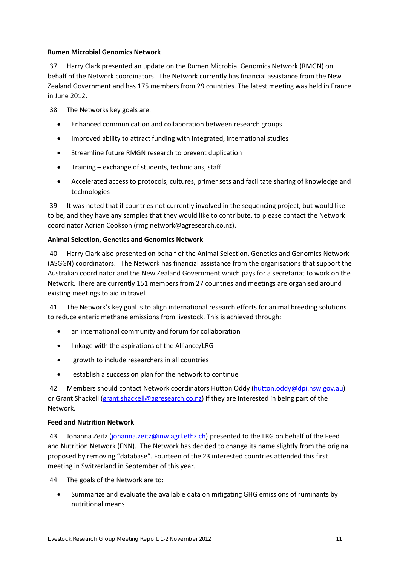### **Rumen Microbial Genomics Network**

37 Harry Clark presented an update on the Rumen Microbial Genomics Network (RMGN) on behalf of the Network coordinators. The Network currently has financial assistance from the New Zealand Government and has 175 members from 29 countries. The latest meeting was held in France in June 2012.

38 The Networks key goals are:

- Enhanced communication and collaboration between research groups
- Improved ability to attract funding with integrated, international studies
- Streamline future RMGN research to prevent duplication
- Training exchange of students, technicians, staff
- Accelerated access to protocols, cultures, primer sets and facilitate sharing of knowledge and technologies

39 It was noted that if countries not currently involved in the sequencing project, but would like to be, and they have any samples that they would like to contribute, to please contact the Network coordinator Adrian Cookson (rmg.network@agresearch.co.nz).

### **Animal Selection, Genetics and Genomics Network**

40 Harry Clark also presented on behalf of the Animal Selection, Genetics and Genomics Network (ASGGN) coordinators. The Network has financial assistance from the organisations that support the Australian coordinator and the New Zealand Government which pays for a secretariat to work on the Network. There are currently 151 members from 27 countries and meetings are organised around existing meetings to aid in travel.

41 The Network's key goal is to align international research efforts for animal breeding solutions to reduce enteric methane emissions from livestock. This is achieved through:

- an international community and forum for collaboration
- linkage with the aspirations of the Alliance/LRG
- growth to include researchers in all countries
- establish a succession plan for the network to continue

42 Members should contact Network coordinators Hutton Oddy [\(hutton.oddy@dpi.nsw.gov.au\)](mailto:hutton.oddy@dpi.nsw.gov.au) or Grant Shackell [\(grant.shackell@agresearch.co.nz\)](mailto:grant.shackell@agresearch.co.nz) if they are interested in being part of the Network.

### **Feed and Nutrition Network**

43 Johanna Zeitz [\(johanna.zeitz@inw.agrl.ethz.ch\)](mailto:johanna.zeitz@inw.agrl.ethz.ch) presented to the LRG on behalf of the Feed and Nutrition Network (FNN). The Network has decided to change its name slightly from the original proposed by removing "database". Fourteen of the 23 interested countries attended this first meeting in Switzerland in September of this year.

44 The goals of the Network are to:

• Summarize and evaluate the available data on mitigating GHG emissions of ruminants by nutritional means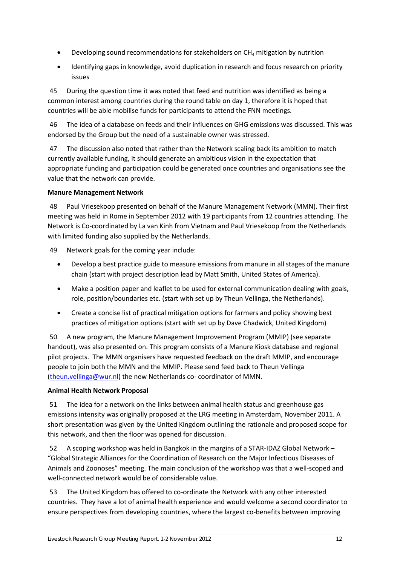- Developing sound recommendations for stakeholders on  $CH_4$  mitigation by nutrition
- Identifying gaps in knowledge, avoid duplication in research and focus research on priority issues

45 During the question time it was noted that feed and nutrition was identified as being a common interest among countries during the round table on day 1, therefore it is hoped that countries will be able mobilise funds for participants to attend the FNN meetings.

46 The idea of a database on feeds and their influences on GHG emissions was discussed. This was endorsed by the Group but the need of a sustainable owner was stressed.

47 The discussion also noted that rather than the Network scaling back its ambition to match currently available funding, it should generate an ambitious vision in the expectation that appropriate funding and participation could be generated once countries and organisations see the value that the network can provide.

### **Manure Management Network**

48 Paul Vriesekoop presented on behalf of the Manure Management Network (MMN). Their first meeting was held in Rome in September 2012 with 19 participants from 12 countries attending. The Network is Co-coordinated by La van Kinh from Vietnam and Paul Vriesekoop from the Netherlands with limited funding also supplied by the Netherlands.

49 Network goals for the coming year include:

- Develop a best practice guide to measure emissions from manure in all stages of the manure chain (start with project description lead by Matt Smith, United States of America).
- Make a position paper and leaflet to be used for external communication dealing with goals, role, position/boundaries etc. (start with set up by Theun Vellinga, the Netherlands).
- Create a concise list of practical mitigation options for farmers and policy showing best practices of mitigation options (start with set up by Dave Chadwick, United Kingdom)

50 A new program, the Manure Management Improvement Program (MMIP) (see separate handout), was also presented on. This program consists of a Manure Kiosk database and regional pilot projects. The MMN organisers have requested feedback on the draft MMIP, and encourage people to join both the MMN and the MMIP. Please send feed back to Theun Vellinga [\(theun.vellinga@wur.nl\)](mailto:theun.vellinga@wur.nl) the new Netherlands co- coordinator of MMN.

### **Animal Health Network Proposal**

51 The idea for a network on the links between animal health status and greenhouse gas emissions intensity was originally proposed at the LRG meeting in Amsterdam, November 2011. A short presentation was given by the United Kingdom outlining the rationale and proposed scope for this network, and then the floor was opened for discussion.

52 A scoping workshop was held in Bangkok in the margins of a STAR-IDAZ Global Network – "Global Strategic Alliances for the Coordination of Research on the Major Infectious Diseases of Animals and Zoonoses" meeting. The main conclusion of the workshop was that a well-scoped and well-connected network would be of considerable value.

53 The United Kingdom has offered to co-ordinate the Network with any other interested countries. They have a lot of animal health experience and would welcome a second coordinator to ensure perspectives from developing countries, where the largest co-benefits between improving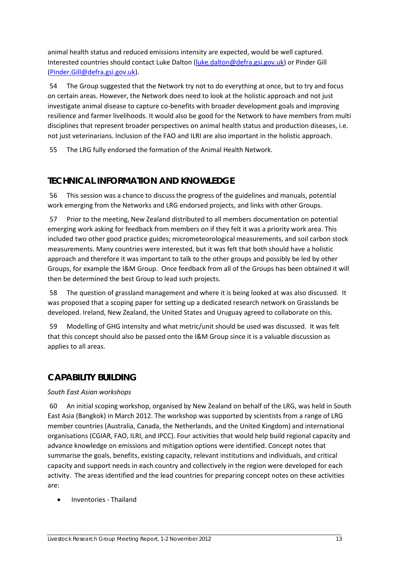animal health status and reduced emissions intensity are expected, would be well captured. Interested countries should contact Luke Dalton [\(luke.dalton@defra.gsi.gov.uk\)](mailto:luke.dalton@defra.gsi.gov.uk) or Pinder Gill [\(Pinder.Gill@defra.gsi.gov.uk\)](mailto:Pinder.Gill@defra.gsi.gov.uk).

54 The Group suggested that the Network try not to do everything at once, but to try and focus on certain areas. However, the Network does need to look at the holistic approach and not just investigate animal disease to capture co-benefits with broader development goals and improving resilience and farmer livelihoods. It would also be good for the Network to have members from multi disciplines that represent broader perspectives on animal health status and production diseases, i.e. not just veterinarians. Inclusion of the FAO and ILRI are also important in the holistic approach.

55 The LRG fully endorsed the formation of the Animal Health Network.

# **TECHNICAL INFORMATION AND KNOWLEDGE**

56 This session was a chance to discuss the progress of the guidelines and manuals, potential work emerging from the Networks and LRG endorsed projects, and links with other Groups.

57 Prior to the meeting, New Zealand distributed to all members documentation on potential emerging work asking for feedback from members on if they felt it was a priority work area. This included two other good practice guides; micrometeorological measurements, and soil carbon stock measurements. Many countries were interested, but it was felt that both should have a holistic approach and therefore it was important to talk to the other groups and possibly be led by other Groups, for example the I&M Group. Once feedback from all of the Groups has been obtained it will then be determined the best Group to lead such projects.

58 The question of grassland management and where it is being looked at was also discussed. It was proposed that a scoping paper for setting up a dedicated research network on Grasslands be developed. Ireland, New Zealand, the United States and Uruguay agreed to collaborate on this.

59 Modelling of GHG intensity and what metric/unit should be used was discussed. It was felt that this concept should also be passed onto the I&M Group since it is a valuable discussion as applies to all areas.

# **CAPABILITY BUILDING**

### *South East Asian workshops*

60 An initial scoping workshop, organised by New Zealand on behalf of the LRG, was held in South East Asia (Bangkok) in March 2012. The workshop was supported by scientists from a range of LRG member countries (Australia, Canada, the Netherlands, and the United Kingdom) and international organisations (CGIAR, FAO, ILRI, and IPCC). Four activities that would help build regional capacity and advance knowledge on emissions and mitigation options were identified. Concept notes that summarise the goals, benefits, existing capacity, relevant institutions and individuals, and critical capacity and support needs in each country and collectively in the region were developed for each activity. The areas identified and the lead countries for preparing concept notes on these activities are:

• Inventories - Thailand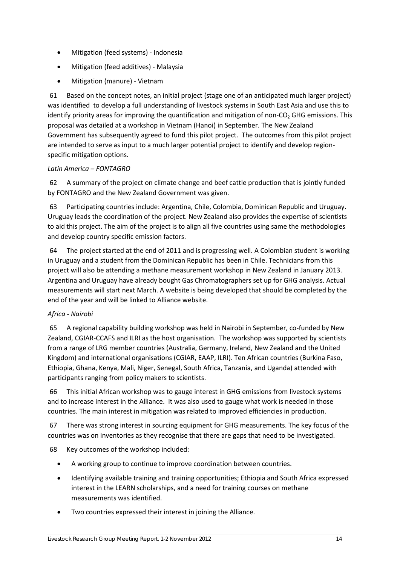- Mitigation (feed systems) Indonesia
- Mitigation (feed additives) Malaysia
- Mitigation (manure) Vietnam

61 Based on the concept notes, an initial project (stage one of an anticipated much larger project) was identified to develop a full understanding of livestock systems in South East Asia and use this to identify priority areas for improving the quantification and mitigation of non- $CO<sub>2</sub>$  GHG emissions. This proposal was detailed at a workshop in Vietnam (Hanoi) in September. The New Zealand Government has subsequently agreed to fund this pilot project. The outcomes from this pilot project are intended to serve as input to a much larger potential project to identify and develop regionspecific mitigation options.

### *Latin America – FONTAGRO*

62 A summary of the project on climate change and beef cattle production that is jointly funded by FONTAGRO and the New Zealand Government was given.

63 Participating countries include: Argentina, Chile, Colombia, Dominican Republic and Uruguay. Uruguay leads the coordination of the project. New Zealand also provides the expertise of scientists to aid this project. The aim of the project is to align all five countries using same the methodologies and develop country specific emission factors.

64 The project started at the end of 2011 and is progressing well. A Colombian student is working in Uruguay and a student from the Dominican Republic has been in Chile. Technicians from this project will also be attending a methane measurement workshop in New Zealand in January 2013. Argentina and Uruguay have already bought Gas Chromatographers set up for GHG analysis. Actual measurements will start next March. A website is being developed that should be completed by the end of the year and will be linked to Alliance website.

### *Africa - Nairobi*

65 A regional capability building workshop was held in Nairobi in September, co-funded by New Zealand, CGIAR-CCAFS and ILRI as the host organisation. The workshop was supported by scientists from a range of LRG member countries (Australia, Germany, Ireland, New Zealand and the United Kingdom) and international organisations (CGIAR, EAAP, ILRI). Ten African countries (Burkina Faso, Ethiopia, Ghana, Kenya, Mali, Niger, Senegal, South Africa, Tanzania, and Uganda) attended with participants ranging from policy makers to scientists.

66 This initial African workshop was to gauge interest in GHG emissions from livestock systems and to increase interest in the Alliance. It was also used to gauge what work is needed in those countries. The main interest in mitigation was related to improved efficiencies in production.

67 There was strong interest in sourcing equipment for GHG measurements. The key focus of the countries was on inventories as they recognise that there are gaps that need to be investigated.

68 Key outcomes of the workshop included:

- A working group to continue to improve coordination between countries.
- Identifying available training and training opportunities; Ethiopia and South Africa expressed interest in the LEARN scholarships, and a need for training courses on methane measurements was identified.
- Two countries expressed their interest in joining the Alliance.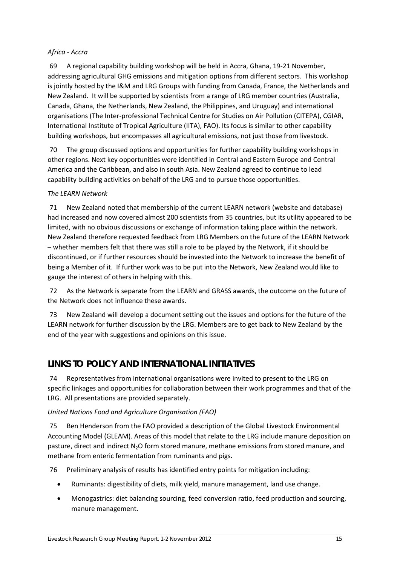### *Africa - Accra*

69 A regional capability building workshop will be held in Accra, Ghana, 19-21 November, addressing agricultural GHG emissions and mitigation options from different sectors. This workshop is jointly hosted by the I&M and LRG Groups with funding from Canada, France, the Netherlands and New Zealand. It will be supported by scientists from a range of LRG member countries (Australia, Canada, Ghana, the Netherlands, New Zealand, the Philippines, and Uruguay) and international organisations (The Inter-professional Technical Centre for Studies on Air Pollution (CITEPA), CGIAR, International Institute of Tropical Agriculture (IITA), FAO). Its focus is similar to other capability building workshops, but encompasses all agricultural emissions, not just those from livestock.

70 The group discussed options and opportunities for further capability building workshops in other regions. Next key opportunities were identified in Central and Eastern Europe and Central America and the Caribbean, and also in south Asia. New Zealand agreed to continue to lead capability building activities on behalf of the LRG and to pursue those opportunities.

### *The LEARN Network*

71 New Zealand noted that membership of the current LEARN network (website and database) had increased and now covered almost 200 scientists from 35 countries, but its utility appeared to be limited, with no obvious discussions or exchange of information taking place within the network. New Zealand therefore requested feedback from LRG Members on the future of the LEARN Network – whether members felt that there was still a role to be played by the Network, if it should be discontinued, or if further resources should be invested into the Network to increase the benefit of being a Member of it. If further work was to be put into the Network, New Zealand would like to gauge the interest of others in helping with this.

72 As the Network is separate from the LEARN and GRASS awards, the outcome on the future of the Network does not influence these awards.

73 New Zealand will develop a document setting out the issues and options for the future of the LEARN network for further discussion by the LRG. Members are to get back to New Zealand by the end of the year with suggestions and opinions on this issue.

# **LINKS TO POLICY AND INTERNATIONAL INITIATIVES**

74 Representatives from international organisations were invited to present to the LRG on specific linkages and opportunities for collaboration between their work programmes and that of the LRG. All presentations are provided separately.

### *United Nations Food and Agriculture Organisation (FAO)*

75 Ben Henderson from the FAO provided a description of the Global Livestock Environmental Accounting Model (GLEAM). Areas of this model that relate to the LRG include manure deposition on pasture, direct and indirect N<sub>2</sub>O form stored manure, methane emissions from stored manure, and methane from enteric fermentation from ruminants and pigs.

76 Preliminary analysis of results has identified entry points for mitigation including:

- Ruminants: digestibility of diets, milk yield, manure management, land use change.
- Monogastrics: diet balancing sourcing, feed conversion ratio, feed production and sourcing, manure management.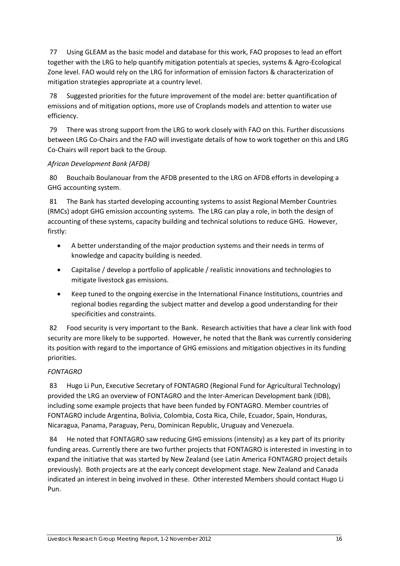77 Using GLEAM as the basic model and database for this work, FAO proposes to lead an effort together with the LRG to help quantify mitigation potentials at species, systems & Agro-Ecological Zone level. FAO would rely on the LRG for information of emission factors & characterization of mitigation strategies appropriate at a country level.

78 Suggested priorities for the future improvement of the model are: better quantification of emissions and of mitigation options, more use of Croplands models and attention to water use efficiency.

79 There was strong support from the LRG to work closely with FAO on this. Further discussions between LRG Co-Chairs and the FAO will investigate details of how to work together on this and LRG Co-Chairs will report back to the Group.

### *African Development Bank (AFDB)*

80 Bouchaib Boulanouar from the AFDB presented to the LRG on AFDB efforts in developing a GHG accounting system.

81 The Bank has started developing accounting systems to assist Regional Member Countries (RMCs) adopt GHG emission accounting systems. The LRG can play a role, in both the design of accounting of these systems, capacity building and technical solutions to reduce GHG. However, firstly:

- A better understanding of the major production systems and their needs in terms of knowledge and capacity building is needed.
- Capitalise / develop a portfolio of applicable / realistic innovations and technologies to mitigate livestock gas emissions.
- Keep tuned to the ongoing exercise in the International Finance Institutions, countries and regional bodies regarding the subject matter and develop a good understanding for their specificities and constraints.

82 Food security is very important to the Bank. Research activities that have a clear link with food security are more likely to be supported. However, he noted that the Bank was currently considering its position with regard to the importance of GHG emissions and mitigation objectives in its funding priorities.

### *FONTAGRO*

83 Hugo Li Pun, Executive Secretary of FONTAGRO (Regional Fund for Agricultural Technology) provided the LRG an overview of FONTAGRO and the Inter-American Development bank (IDB), including some example projects that have been funded by FONTAGRO. Member countries of FONTAGRO include Argentina, Bolivia, Colombia, Costa Rica, Chile, Ecuador, Spain, Honduras, Nicaragua, Panama, Paraguay, Peru, Dominican Republic, Uruguay and Venezuela.

84 He noted that FONTAGRO saw reducing GHG emissions (intensity) as a key part of its priority funding areas. Currently there are two further projects that FONTAGRO is interested in investing in to expand the initiative that was started by New Zealand (see Latin America FONTAGRO project details previously). Both projects are at the early concept development stage. New Zealand and Canada indicated an interest in being involved in these. Other interested Members should contact Hugo Li Pun.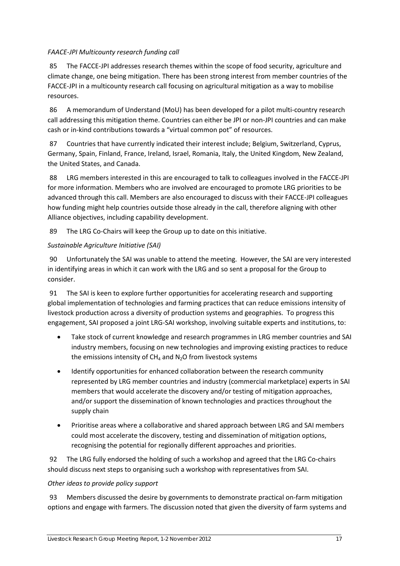### *FAACE-JPI Multicounty research funding call*

85 The FACCE-JPI addresses research themes within the scope of food security, agriculture and climate change, one being mitigation. There has been strong interest from member countries of the FACCE-JPI in a multicounty research call focusing on agricultural mitigation as a way to mobilise resources.

86 A memorandum of Understand (MoU) has been developed for a pilot multi-country research call addressing this mitigation theme. Countries can either be JPI or non-JPI countries and can make cash or in-kind contributions towards a "virtual common pot" of resources.

87 Countries that have currently indicated their interest include; Belgium, Switzerland, Cyprus, Germany, Spain, Finland, France, Ireland, Israel, Romania, Italy, the United Kingdom, New Zealand, the United States, and Canada.

88 LRG members interested in this are encouraged to talk to colleagues involved in the FACCE-JPI for more information. Members who are involved are encouraged to promote LRG priorities to be advanced through this call. Members are also encouraged to discuss with their FACCE-JPI colleagues how funding might help countries outside those already in the call, therefore aligning with other Alliance objectives, including capability development.

89 The LRG Co-Chairs will keep the Group up to date on this initiative.

### *Sustainable Agriculture Initiative (SAI)*

90 Unfortunately the SAI was unable to attend the meeting. However, the SAI are very interested in identifying areas in which it can work with the LRG and so sent a proposal for the Group to consider.

91 The SAI is keen to explore further opportunities for accelerating research and supporting global implementation of technologies and farming practices that can reduce emissions intensity of livestock production across a diversity of production systems and geographies. To progress this engagement, SAI proposed a joint LRG-SAI workshop, involving suitable experts and institutions, to:

- Take stock of current knowledge and research programmes in LRG member countries and SAI industry members, focusing on new technologies and improving existing practices to reduce the emissions intensity of  $CH_4$  and  $N_2O$  from livestock systems
- Identify opportunities for enhanced collaboration between the research community represented by LRG member countries and industry (commercial marketplace) experts in SAI members that would accelerate the discovery and/or testing of mitigation approaches, and/or support the dissemination of known technologies and practices throughout the supply chain
- Prioritise areas where a collaborative and shared approach between LRG and SAI members could most accelerate the discovery, testing and dissemination of mitigation options, recognising the potential for regionally different approaches and priorities.

92 The LRG fully endorsed the holding of such a workshop and agreed that the LRG Co-chairs should discuss next steps to organising such a workshop with representatives from SAI.

### *Other ideas to provide policy support*

93 Members discussed the desire by governments to demonstrate practical on-farm mitigation options and engage with farmers. The discussion noted that given the diversity of farm systems and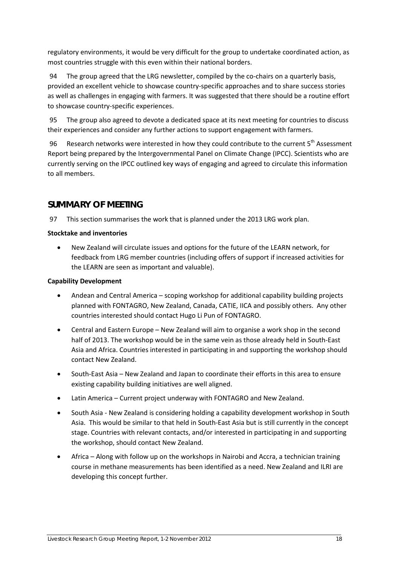regulatory environments, it would be very difficult for the group to undertake coordinated action, as most countries struggle with this even within their national borders.

94 The group agreed that the LRG newsletter, compiled by the co-chairs on a quarterly basis, provided an excellent vehicle to showcase country-specific approaches and to share success stories as well as challenges in engaging with farmers. It was suggested that there should be a routine effort to showcase country-specific experiences.

95 The group also agreed to devote a dedicated space at its next meeting for countries to discuss their experiences and consider any further actions to support engagement with farmers.

96 Research networks were interested in how they could contribute to the current 5<sup>th</sup> Assessment Report being prepared by the Intergovernmental Panel on Climate Change (IPCC). Scientists who are currently serving on the IPCC outlined key ways of engaging and agreed to circulate this information to all members.

# **SUMMARY OF MEETING**

97 This section summarises the work that is planned under the 2013 LRG work plan.

### **Stocktake and inventories**

• New Zealand will circulate issues and options for the future of the LEARN network, for feedback from LRG member countries (including offers of support if increased activities for the LEARN are seen as important and valuable).

### **Capability Development**

- Andean and Central America scoping workshop for additional capability building projects planned with FONTAGRO, New Zealand, Canada, CATIE, IICA and possibly others. Any other countries interested should contact Hugo Li Pun of FONTAGRO.
- Central and Eastern Europe New Zealand will aim to organise a work shop in the second half of 2013. The workshop would be in the same vein as those already held in South-East Asia and Africa. Countries interested in participating in and supporting the workshop should contact New Zealand.
- South-East Asia New Zealand and Japan to coordinate their efforts in this area to ensure existing capability building initiatives are well aligned.
- Latin America Current project underway with FONTAGRO and New Zealand.
- South Asia New Zealand is considering holding a capability development workshop in South Asia. This would be similar to that held in South-East Asia but is still currently in the concept stage. Countries with relevant contacts, and/or interested in participating in and supporting the workshop, should contact New Zealand.
- Africa Along with follow up on the workshops in Nairobi and Accra, a technician training course in methane measurements has been identified as a need. New Zealand and ILRI are developing this concept further.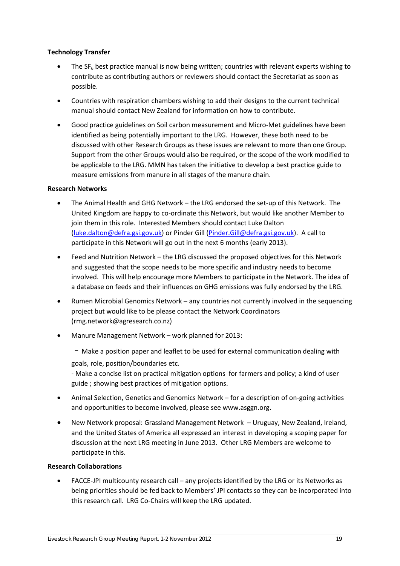### **Technology Transfer**

- The  $SF<sub>6</sub>$  best practice manual is now being written; countries with relevant experts wishing to contribute as contributing authors or reviewers should contact the Secretariat as soon as possible.
- Countries with respiration chambers wishing to add their designs to the current technical manual should contact New Zealand for information on how to contribute.
- Good practice guidelines on Soil carbon measurement and Micro-Met guidelines have been identified as being potentially important to the LRG. However, these both need to be discussed with other Research Groups as these issues are relevant to more than one Group. Support from the other Groups would also be required, or the scope of the work modified to be applicable to the LRG. MMN has taken the initiative to develop a best practice guide to measure emissions from manure in all stages of the manure chain.

### **Research Networks**

- The Animal Health and GHG Network the LRG endorsed the set-up of this Network. The United Kingdom are happy to co-ordinate this Network, but would like another Member to join them in this role. Interested Members should contact Luke Dalton [\(luke.dalton@defra.gsi.gov.uk\)](mailto:luke.dalton@defra.gsi.gov.uk) or Pinder Gill [\(Pinder.Gill@defra.gsi.gov.uk\)](mailto:Pinder.Gill@defra.gsi.gov.uk). A call to participate in this Network will go out in the next 6 months (early 2013).
- Feed and Nutrition Network the LRG discussed the proposed objectives for this Network and suggested that the scope needs to be more specific and industry needs to become involved. This will help encourage more Members to participate in the Network. The idea of a database on feeds and their influences on GHG emissions was fully endorsed by the LRG.
- Rumen Microbial Genomics Network any countries not currently involved in the sequencing project but would like to be please contact the Network Coordinators (rmg.network@agresearch.co.nz)
- Manure Management Network work planned for 2013:
	- Make a position paper and leaflet to be used for external communication dealing with
	- goals, role, position/boundaries etc.

- Make a concise list on practical mitigation options for farmers and policy; a kind of user guide ; showing best practices of mitigation options.

- Animal Selection, Genetics and Genomics Network for a description of on-going activities and opportunities to become involved, please see www.asggn.org.
- New Network proposal: Grassland Management Network Uruguay, New Zealand, Ireland, and the United States of America all expressed an interest in developing a scoping paper for discussion at the next LRG meeting in June 2013. Other LRG Members are welcome to participate in this.

### **Research Collaborations**

• FACCE-JPI multicounty research call – any projects identified by the LRG or its Networks as being priorities should be fed back to Members' JPI contacts so they can be incorporated into this research call. LRG Co-Chairs will keep the LRG updated.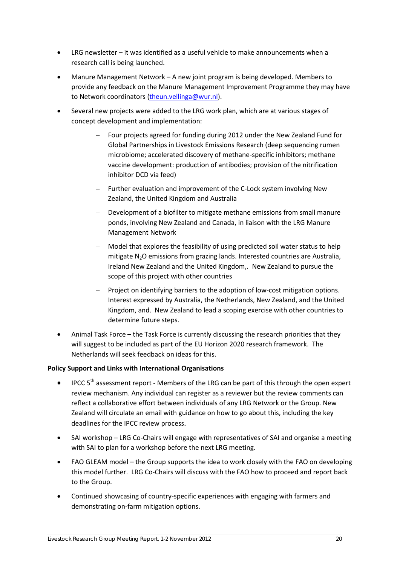- LRG newsletter  $-$  it was identified as a useful vehicle to make announcements when a research call is being launched.
- Manure Management Network A new joint program is being developed. Members to provide any feedback on the Manure Management Improvement Programme they may have to Network coordinators [\(theun.vellinga@wur.nl\)](mailto:theun.vellinga@wur.nl).
- Several new projects were added to the LRG work plan, which are at various stages of concept development and implementation:
	- Four projects agreed for funding during 2012 under the New Zealand Fund for Global Partnerships in Livestock Emissions Research (deep sequencing rumen microbiome; accelerated discovery of methane-specific inhibitors; methane vaccine development: production of antibodies; provision of the nitrification inhibitor DCD via feed)
	- Further evaluation and improvement of the C-Lock system involving New Zealand, the United Kingdom and Australia
	- Development of a biofilter to mitigate methane emissions from small manure ponds, involving New Zealand and Canada, in liaison with the LRG Manure Management Network
	- Model that explores the feasibility of using predicted soil water status to help mitigate N<sub>2</sub>O emissions from grazing lands. Interested countries are Australia, Ireland New Zealand and the United Kingdom,. New Zealand to pursue the scope of this project with other countries
	- Project on identifying barriers to the adoption of low-cost mitigation options. Interest expressed by Australia, the Netherlands, New Zealand, and the United Kingdom, and. New Zealand to lead a scoping exercise with other countries to determine future steps.
- Animal Task Force the Task Force is currently discussing the research priorities that they will suggest to be included as part of the EU Horizon 2020 research framework. The Netherlands will seek feedback on ideas for this.

### **Policy Support and Links with International Organisations**

- IPCC 5<sup>th</sup> assessment report Members of the LRG can be part of this through the open expert review mechanism. Any individual can register as a reviewer but the review comments can reflect a collaborative effort between individuals of any LRG Network or the Group. New Zealand will circulate an email with guidance on how to go about this, including the key deadlines for the IPCC review process.
- SAI workshop LRG Co-Chairs will engage with representatives of SAI and organise a meeting with SAI to plan for a workshop before the next LRG meeting.
- FAO GLEAM model the Group supports the idea to work closely with the FAO on developing this model further. LRG Co-Chairs will discuss with the FAO how to proceed and report back to the Group.
- Continued showcasing of country-specific experiences with engaging with farmers and demonstrating on-farm mitigation options.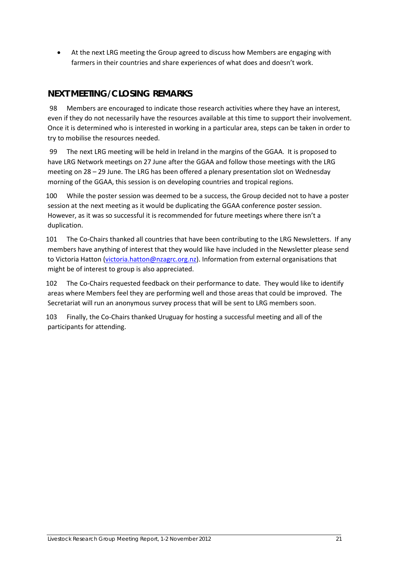• At the next LRG meeting the Group agreed to discuss how Members are engaging with farmers in their countries and share experiences of what does and doesn't work.

# **NEXT MEETING/CLOSING REMARKS**

98 Members are encouraged to indicate those research activities where they have an interest, even if they do not necessarily have the resources available at this time to support their involvement. Once it is determined who is interested in working in a particular area, steps can be taken in order to try to mobilise the resources needed.

99 The next LRG meeting will be held in Ireland in the margins of the GGAA. It is proposed to have LRG Network meetings on 27 June after the GGAA and follow those meetings with the LRG meeting on 28 – 29 June. The LRG has been offered a plenary presentation slot on Wednesday morning of the GGAA, this session is on developing countries and tropical regions.

100 While the poster session was deemed to be a success, the Group decided not to have a poster session at the next meeting as it would be duplicating the GGAA conference poster session. However, as it was so successful it is recommended for future meetings where there isn't a duplication.

101 The Co-Chairs thanked all countries that have been contributing to the LRG Newsletters. If any members have anything of interest that they would like have included in the Newsletter please send to Victoria Hatton [\(victoria.hatton@nzagrc.org.nz\)](mailto:victoria.hatton@nzagrc.org.nz). Information from external organisations that might be of interest to group is also appreciated.

102 The Co-Chairs requested feedback on their performance to date. They would like to identify areas where Members feel they are performing well and those areas that could be improved. The Secretariat will run an anonymous survey process that will be sent to LRG members soon.

103 Finally, the Co-Chairs thanked Uruguay for hosting a successful meeting and all of the participants for attending.